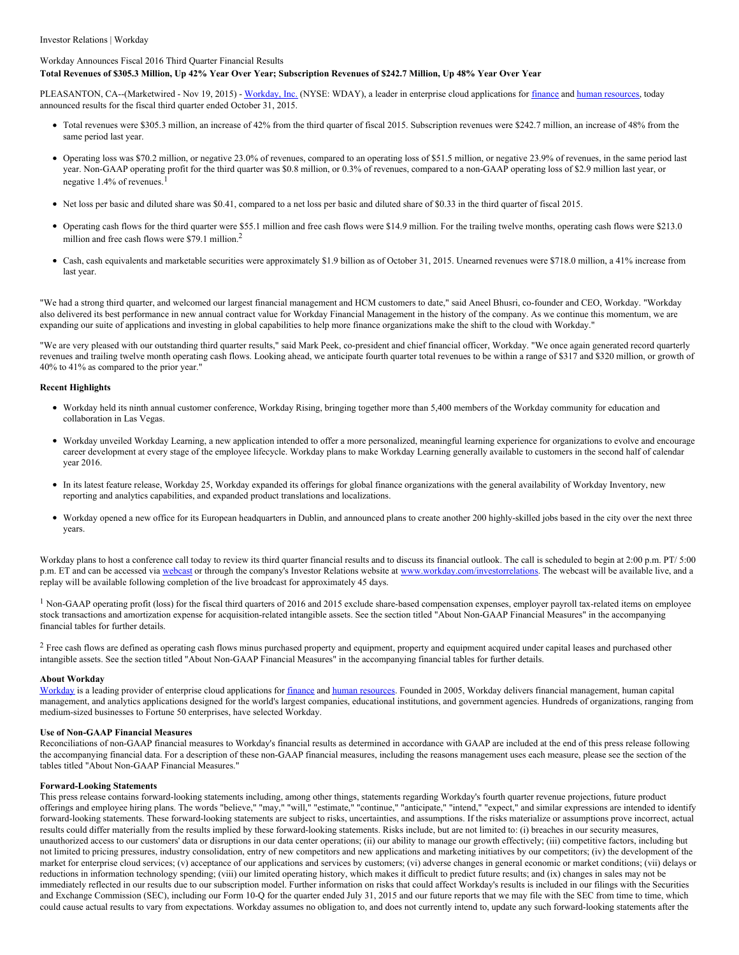### Investor Relations | Workday

## Workday Announces Fiscal 2016 Third Quarter Financial Results

## Total Revenues of \$305.3 Million, Up 42% Year Over Year; Subscription Revenues of \$242.7 Million, Up 48% Year Over Year

PLEASANTON, CA--(Marketwired - Nov 19, 2015) - [Workday,](http://www.workday.com/) Inc. (NYSE: WDAY), a leader in enterprise cloud applications for [finance](http://www.workday.com/applications/financial_management.php) and human [resources](http://www.workday.com/applications/human_capital_management.php), today announced results for the fiscal third quarter ended October 31, 2015.

- Total revenues were \$305.3 million, an increase of 42% from the third quarter of fiscal 2015. Subscription revenues were \$242.7 million, an increase of 48% from the same period last year.
- Operating loss was \$70.2 million, or negative 23.0% of revenues, compared to an operating loss of \$51.5 million, or negative 23.9% of revenues, in the same period last year. Non-GAAP operating profit for the third quarter was \$0.8 million, or 0.3% of revenues, compared to a non-GAAP operating loss of \$2.9 million last year, or negative  $1.4\%$  of revenues.<sup>1</sup>
- Net loss per basic and diluted share was \$0.41, compared to a net loss per basic and diluted share of \$0.33 in the third quarter of fiscal 2015.
- Operating cash flows for the third quarter were \$55.1 million and free cash flows were \$14.9 million. For the trailing twelve months, operating cash flows were \$213.0 million and free cash flows were \$79.1 million.<sup>2</sup>
- Cash, cash equivalents and marketable securities were approximately \$1.9 billion as of October 31, 2015. Unearned revenues were \$718.0 million, a 41% increase from last year.

"We had a strong third quarter, and welcomed our largest financial management and HCM customers to date," said Aneel Bhusri, co-founder and CEO, Workday. "Workday also delivered its best performance in new annual contract value for Workday Financial Management in the history of the company. As we continue this momentum, we are expanding our suite of applications and investing in global capabilities to help more finance organizations make the shift to the cloud with Workday."

"We are very pleased with our outstanding third quarter results," said Mark Peek, co-president and chief financial officer, Workday. "We once again generated record quarterly revenues and trailing twelve month operating cash flows. Looking ahead, we anticipate fourth quarter total revenues to be within a range of \$317 and \$320 million, or growth of 40% to 41% as compared to the prior year."

### **Recent Highlights**

- Workday held its ninth annual customer conference, Workday Rising, bringing together more than 5,400 members of the Workday community for education and collaboration in Las Vegas.
- Workday unveiled Workday Learning, a new application intended to offer a more personalized, meaningful learning experience for organizations to evolve and encourage career development at every stage of the employee lifecycle. Workday plans to make Workday Learning generally available to customers in the second half of calendar year 2016.
- In its latest feature release, Workday 25, Workday expanded its offerings for global finance organizations with the general availability of Workday Inventory, new reporting and analytics capabilities, and expanded product translations and localizations.
- Workday opened a new office for its European headquarters in Dublin, and announced plans to create another 200 highly-skilled jobs based in the city over the next three years.

Workday plans to host a conference call today to review its third quarter financial results and to discuss its financial outlook. The call is scheduled to begin at 2:00 p.m. PT/ 5:00 p.m. ET and can be accessed via [webcast](https://edge.media-server.com/m/p/vxssudjy/lan/en) or through the company's Investor Relations website at [www.workday.com/investorrelations](http://www.workday.com/investorrelations). The webcast will be available live, and a replay will be available following completion of the live broadcast for approximately 45 days.

<sup>1</sup> Non-GAAP operating profit (loss) for the fiscal third quarters of 2016 and 2015 exclude share-based compensation expenses, employer payroll tax-related items on employee stock transactions and amortization expense for acquisition-related intangible assets. See the section titled "About Non-GAAP Financial Measures" in the accompanying financial tables for further details.

<sup>2</sup> Free cash flows are defined as operating cash flows minus purchased property and equipment, property and equipment acquired under capital leases and purchased other intangible assets. See the section titled "About Non-GAAP Financial Measures" in the accompanying financial tables for further details.

#### **About Workday**

[Workday](http://www.workday.com/) is a leading provider of enterprise cloud applications for [finance](http://www.workday.com/applications/financial_management.php) and human [resources](http://www.workday.com/applications/human_capital_management.php). Founded in 2005, Workday delivers financial management, human capital management, and analytics applications designed for the world's largest companies, educational institutions, and government agencies. Hundreds of organizations, ranging from medium-sized businesses to Fortune 50 enterprises, have selected Workday.

#### **Use of Non-GAAP Financial Measures**

Reconciliations of non-GAAP financial measures to Workday's financial results as determined in accordance with GAAP are included at the end of this press release following the accompanying financial data. For a description of these non-GAAP financial measures, including the reasons management uses each measure, please see the section of the tables titled "About Non-GAAP Financial Measures."

#### **Forward-Looking Statements**

This press release contains forward-looking statements including, among other things, statements regarding Workday's fourth quarter revenue projections, future product offerings and employee hiring plans. The words "believe," "may," "will," "estimate," "continue," "anticipate," "intend," "expect," and similar expressions are intended to identify forward-looking statements. These forward-looking statements are subject to risks, uncertainties, and assumptions. If the risks materialize or assumptions prove incorrect, actual results could differ materially from the results implied by these forward-looking statements. Risks include, but are not limited to: (i) breaches in our security measures, unauthorized access to our customers' data or disruptions in our data center operations; (ii) our ability to manage our growth effectively; (iii) competitive factors, including but not limited to pricing pressures, industry consolidation, entry of new competitors and new applications and marketing initiatives by our competitors; (iv) the development of the market for enterprise cloud services; (v) acceptance of our applications and services by customers; (vi) adverse changes in general economic or market conditions; (vii) delays or reductions in information technology spending; (viii) our limited operating history, which makes it difficult to predict future results; and (ix) changes in sales may not be immediately reflected in our results due to our subscription model. Further information on risks that could affect Workday's results is included in our filings with the Securities and Exchange Commission (SEC), including our Form 10-Q for the quarter ended July 31, 2015 and our future reports that we may file with the SEC from time to time, which could cause actual results to vary from expectations. Workday assumes no obligation to, and does not currently intend to, update any such forward-looking statements after the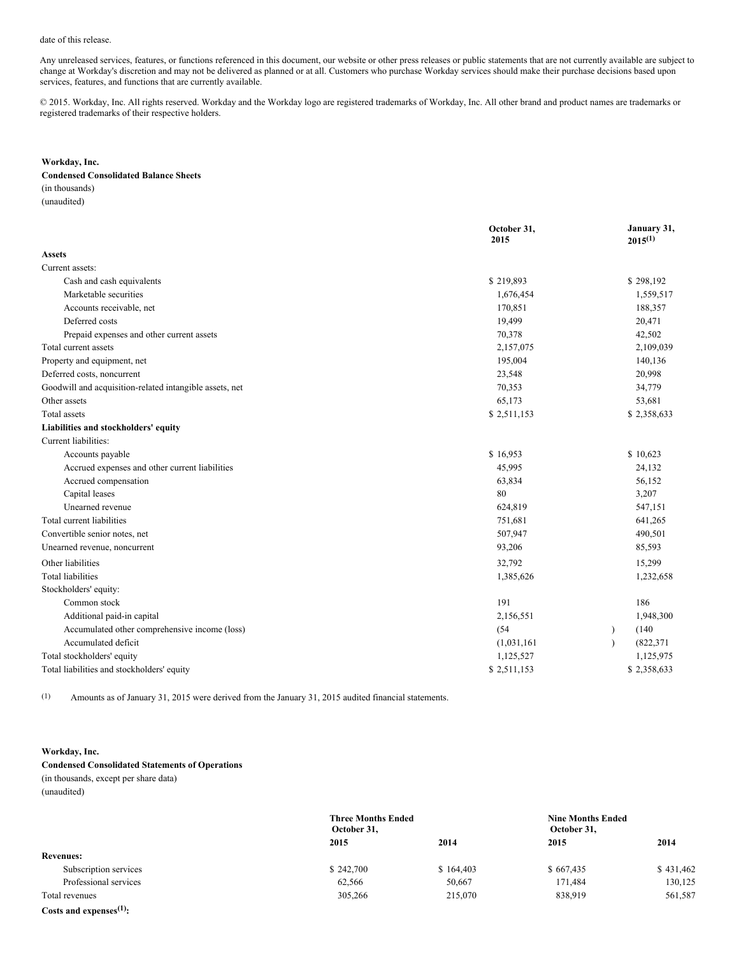## date of this release.

Any unreleased services, features, or functions referenced in this document, our website or other press releases or public statements that are not currently available are subject to change at Workday's discretion and may not be delivered as planned or at all. Customers who purchase Workday services should make their purchase decisions based upon services, features, and functions that are currently available.

© 2015. Workday, Inc. All rights reserved. Workday and the Workday logo are registered trademarks of Workday, Inc. All other brand and product names are trademarks or registered trademarks of their respective holders.

### **Workday, Inc.**

### **Condensed Consolidated Balance Sheets**

(in thousands) (unaudited)

|                                                         | October 31,<br>2015 | January 31,<br>$2015^{(1)}$ |
|---------------------------------------------------------|---------------------|-----------------------------|
| <b>Assets</b>                                           |                     |                             |
| Current assets:                                         |                     |                             |
| Cash and cash equivalents                               | \$219,893           | \$298,192                   |
| Marketable securities                                   | 1,676,454           | 1,559,517                   |
| Accounts receivable, net                                | 170,851             | 188,357                     |
| Deferred costs                                          | 19,499              | 20,471                      |
| Prepaid expenses and other current assets               | 70,378              | 42,502                      |
| Total current assets                                    | 2,157,075           | 2,109,039                   |
| Property and equipment, net                             | 195,004             | 140,136                     |
| Deferred costs, noncurrent                              | 23,548              | 20,998                      |
| Goodwill and acquisition-related intangible assets, net | 70,353              | 34,779                      |
| Other assets                                            | 65,173              | 53,681                      |
| Total assets                                            | \$2,511,153         | \$2,358,633                 |
| Liabilities and stockholders' equity                    |                     |                             |
| Current liabilities:                                    |                     |                             |
| Accounts payable                                        | \$16,953            | \$10,623                    |
| Accrued expenses and other current liabilities          | 45,995              | 24,132                      |
| Accrued compensation                                    | 63,834              | 56,152                      |
| Capital leases                                          | 80                  | 3,207                       |
| Unearned revenue                                        | 624,819             | 547,151                     |
| Total current liabilities                               | 751,681             | 641,265                     |
| Convertible senior notes, net                           | 507,947             | 490,501                     |
| Unearned revenue, noncurrent                            | 93,206              | 85,593                      |
| Other liabilities                                       | 32,792              | 15,299                      |
| <b>Total liabilities</b>                                | 1,385,626           | 1,232,658                   |
| Stockholders' equity:                                   |                     |                             |
| Common stock                                            | 191                 | 186                         |
| Additional paid-in capital                              | 2,156,551           | 1,948,300                   |
| Accumulated other comprehensive income (loss)           | (54)                | (140)<br>$\lambda$          |
| Accumulated deficit                                     | (1,031,161)         | (822, 371)                  |
| Total stockholders' equity                              | 1,125,527           | 1,125,975                   |
| Total liabilities and stockholders' equity              | \$2,511,153         | \$2,358,633                 |

(1) Amounts as of January 31, 2015 were derived from the January 31, 2015 audited financial statements.

# **Workday, Inc.**

## **Condensed Consolidated Statements of Operations** (in thousands, except per share data)

(unaudited)

|                            | October 31, | <b>Three Months Ended</b> |           | <b>Nine Months Ended</b> |
|----------------------------|-------------|---------------------------|-----------|--------------------------|
|                            | 2015        | 2014                      | 2015      | 2014                     |
| <b>Revenues:</b>           |             |                           |           |                          |
| Subscription services      | \$242,700   | \$164,403                 | \$667,435 | \$431,462                |
| Professional services      | 62,566      | 50,667                    | 171,484   | 130,125                  |
| Total revenues             | 305,266     | 215,070                   | 838,919   | 561,587                  |
| Costs and expenses $(1)$ : |             |                           |           |                          |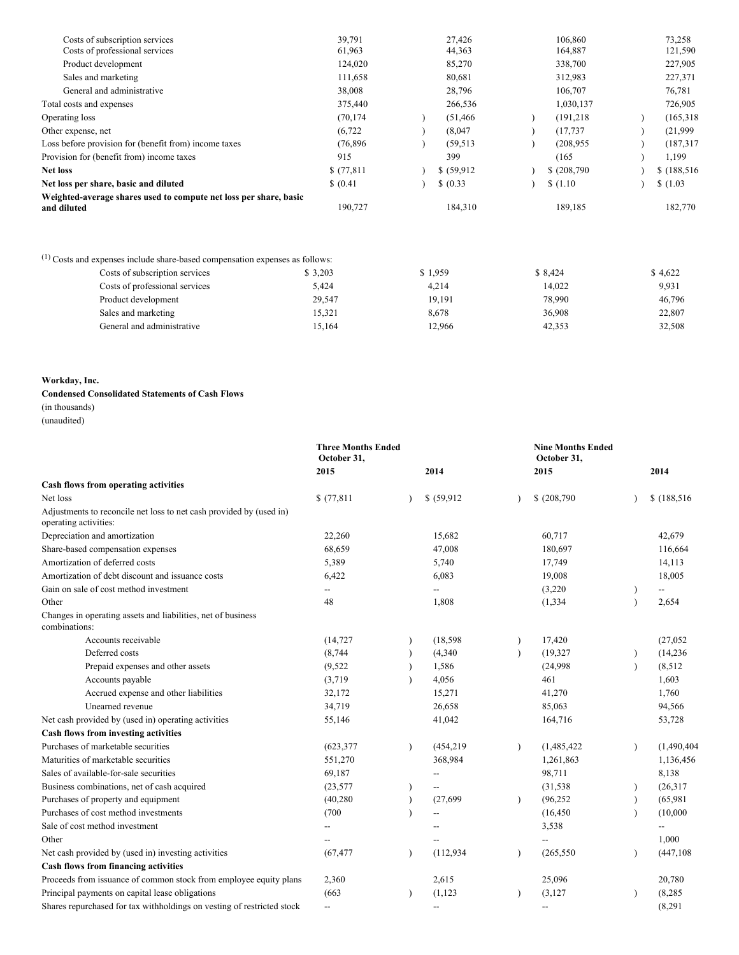| Weighted-average shares used to compute net loss per share, basic<br>and diluted | 190,727          | 184,310          | 189,185            | 182,770           |
|----------------------------------------------------------------------------------|------------------|------------------|--------------------|-------------------|
| Net loss per share, basic and diluted                                            | \$ (0.41)        | \$ (0.33)        | \$(1.10)           | \$(1.03)          |
| <b>Net loss</b>                                                                  | \$(77,811)       | \$ (59,912)      | \$(208,790)        | \$(188, 516)      |
| Provision for (benefit from) income taxes                                        | 915              | 399              | (165)              | 1,199             |
| Loss before provision for (benefit from) income taxes                            | (76, 896)        | (59, 513)        | (208.955)          | (187, 317)        |
| Other expense, net                                                               | (6, 722)         | (8,047)          | (17, 737)          | (21,999)          |
| Operating loss                                                                   | (70, 174)        | (51, 466)        | (191, 218)         | (165, 318)        |
| Total costs and expenses                                                         | 375,440          | 266,536          | 1,030,137          | 726,905           |
| General and administrative                                                       | 38,008           | 28,796           | 106,707            | 76,781            |
| Sales and marketing                                                              | 111,658          | 80,681           | 312,983            | 227,371           |
| Product development                                                              | 124,020          | 85,270           | 338,700            | 227,905           |
| Costs of subscription services<br>Costs of professional services                 | 39.791<br>61,963 | 27,426<br>44,363 | 106,860<br>164,887 | 73,258<br>121,590 |
|                                                                                  |                  |                  |                    |                   |

| <sup>(1)</sup> Costs and expenses include share-based compensation expenses as follows: |         |         |         |         |
|-----------------------------------------------------------------------------------------|---------|---------|---------|---------|
| Costs of subscription services                                                          | \$3,203 | \$1.959 | \$8,424 | \$4,622 |
| Costs of professional services                                                          | 5.424   | 4.214   | 14.022  | 9,931   |
| Product development                                                                     | 29.547  | 19.191  | 78.990  | 46,796  |
| Sales and marketing                                                                     | 15,321  | 8.678   | 36.908  | 22,807  |
| General and administrative                                                              | 15.164  | 12.966  | 42,353  | 32,508  |

# **Workday, Inc.**

# **Condensed Consolidated Statements of Cash Flows**

(in thousands)

| (unaudited) |
|-------------|
|-------------|

|                                                                                              | <b>Three Months Ended</b><br>October 31.            |           |                   |           | <b>Nine Months Ended</b><br>October 31. |           |              |
|----------------------------------------------------------------------------------------------|-----------------------------------------------------|-----------|-------------------|-----------|-----------------------------------------|-----------|--------------|
|                                                                                              | 2015                                                |           | 2014              |           | 2015                                    |           | 2014         |
| Cash flows from operating activities                                                         |                                                     |           |                   |           |                                         |           |              |
| Net loss                                                                                     | \$(77,811)                                          |           | \$ (59,912)       |           | \$ (208,790)                            |           | \$(188, 516) |
| Adjustments to reconcile net loss to net cash provided by (used in)<br>operating activities: |                                                     |           |                   |           |                                         |           |              |
| Depreciation and amortization                                                                | 22,260                                              |           | 15,682            |           | 60,717                                  |           | 42,679       |
| Share-based compensation expenses                                                            | 68,659                                              |           | 47,008            |           | 180,697                                 |           | 116,664      |
| Amortization of deferred costs                                                               | 5,389                                               |           | 5,740             |           | 17,749                                  |           | 14,113       |
| Amortization of debt discount and issuance costs                                             | 6,422                                               |           | 6,083             |           | 19,008                                  |           | 18,005       |
| Gain on sale of cost method investment                                                       | $\overline{\phantom{a}}$                            |           | $\qquad \qquad -$ |           | (3,220)                                 |           | $-$          |
| Other                                                                                        | 48                                                  |           | 1,808             |           | (1, 334)                                |           | 2,654        |
| Changes in operating assets and liabilities, net of business<br>combinations:                |                                                     |           |                   |           |                                         |           |              |
| Accounts receivable                                                                          | (14, 727)                                           |           | (18, 598)         |           | 17,420                                  |           | (27,052)     |
| Deferred costs                                                                               | (8, 744)                                            |           | (4,340)           | $\lambda$ | (19, 327)                               |           | (14, 236)    |
| Prepaid expenses and other assets                                                            | (9,522)                                             |           | 1,586             |           | (24.998)                                | $\lambda$ | (8,512)      |
| Accounts payable                                                                             | (3,719)                                             |           | 4,056             |           | 461                                     |           | 1,603        |
| Accrued expense and other liabilities                                                        | 32,172                                              |           | 15,271            |           | 41,270                                  |           | 1,760        |
| Unearned revenue                                                                             | 34,719                                              |           | 26,658            |           | 85,063                                  |           | 94,566       |
| Net cash provided by (used in) operating activities                                          | 55,146                                              |           | 41,042            |           | 164,716                                 |           | 53,728       |
| Cash flows from investing activities                                                         |                                                     |           |                   |           |                                         |           |              |
| Purchases of marketable securities                                                           | (623, 377)                                          | $\lambda$ | (454, 219)        | $\lambda$ | (1,485,422)                             | $\lambda$ | (1,490,404)  |
| Maturities of marketable securities                                                          | 551,270                                             |           | 368,984           |           | 1,261,863                               |           | 1,136,456    |
| Sales of available-for-sale securities                                                       | 69,187                                              |           | $\overline{a}$    |           | 98,711                                  |           | 8,138        |
| Business combinations, net of cash acquired                                                  | (23, 577)                                           |           |                   |           | (31, 538)                               |           | (26, 317)    |
| Purchases of property and equipment                                                          | (40, 280)                                           |           | (27, 699)         | $\lambda$ | (96, 252)                               |           | (65,981)     |
| Purchases of cost method investments                                                         | (700)                                               |           |                   |           | (16, 450)                               |           | (10,000)     |
| Sale of cost method investment                                                               | --                                                  |           | $\overline{a}$    |           | 3,538                                   |           |              |
| Other                                                                                        |                                                     |           |                   |           |                                         |           | 1,000        |
| Net cash provided by (used in) investing activities                                          | (67, 477)                                           | $\lambda$ | (112, 934)        | $\lambda$ | (265, 550)                              |           | (447, 108)   |
| Cash flows from financing activities                                                         |                                                     |           |                   |           |                                         |           |              |
| Proceeds from issuance of common stock from employee equity plans                            | 2,360                                               |           | 2,615             |           | 25,096                                  |           | 20,780       |
| Principal payments on capital lease obligations                                              | (663)                                               |           | (1, 123)          |           | (3, 127)                                |           | (8, 285)     |
| Shares repurchased for tax withholdings on vesting of restricted stock                       | $\hspace{0.05cm} -\hspace{0.05cm} -\hspace{0.05cm}$ |           | $\qquad \qquad -$ |           | --                                      |           | (8,291)      |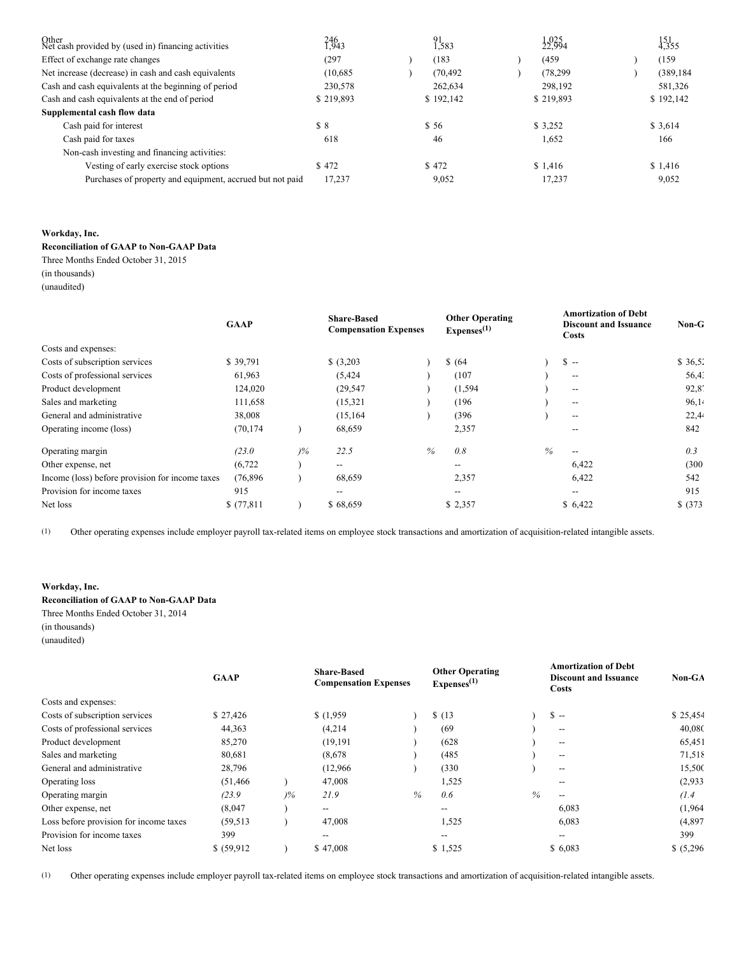| Other<br>Net cash provided by (used in) financing activities | 246<br>1,943 | $^{91}_{1,583}$ | $1,025$ <sub>4</sub> | $\frac{151}{4,355}$ |
|--------------------------------------------------------------|--------------|-----------------|----------------------|---------------------|
| Effect of exchange rate changes                              | (297)        | (183)           | (459)                | (159)               |
| Net increase (decrease) in cash and cash equivalents         | (10,685)     | (70, 492)       | (78, 299)            | (389, 184)          |
| Cash and cash equivalents at the beginning of period         | 230,578      | 262,634         | 298.192              | 581,326             |
| Cash and cash equivalents at the end of period               | \$219,893    | \$192,142       | \$219,893            | \$192,142           |
| Supplemental cash flow data                                  |              |                 |                      |                     |
| Cash paid for interest                                       | \$8          | \$56            | \$ 3.252             | \$3,614             |
| Cash paid for taxes                                          | 618          | 46              | 1,652                | 166                 |
| Non-cash investing and financing activities:                 |              |                 |                      |                     |
| Vesting of early exercise stock options                      | \$472        | \$472           | \$1.416              | \$1,416             |
| Purchases of property and equipment, accrued but not paid    | 17,237       | 9,052           | 17,237               | 9,052               |

## **Workday, Inc.**

**Reconciliation of GAAP to Non-GAAP Data**

Three Months Ended October 31, 2015

(in thousands) (unaudited)

|                                                 | <b>GAAP</b> |       | <b>Share-Based</b><br><b>Compensation Expenses</b> |   | <b>Other Operating</b><br>Express <sup>(1)</sup> |      | <b>Amortization of Debt</b><br><b>Discount and Issuance</b><br><b>Costs</b> | $Non-G$  |
|-------------------------------------------------|-------------|-------|----------------------------------------------------|---|--------------------------------------------------|------|-----------------------------------------------------------------------------|----------|
| Costs and expenses:                             |             |       |                                                    |   |                                                  |      |                                                                             |          |
| Costs of subscription services                  | \$39,791    |       | \$ (3,203)                                         |   | \$ (64)                                          |      | $S -$                                                                       | \$36,52  |
| Costs of professional services                  | 61,963      |       | (5, 424)                                           |   | (107)                                            |      | $\overline{\phantom{m}}$                                                    | 56.4.    |
| Product development                             | 124,020     |       | (29, 547)                                          |   | (1, 594)                                         |      | $\overline{\phantom{m}}$                                                    | 92,8'    |
| Sales and marketing                             | 111,658     |       | (15, 321)                                          |   | (196)                                            |      | $\overline{\phantom{m}}$                                                    | 96,14    |
| General and administrative                      | 38,008      |       | (15, 164)                                          |   | (396)                                            |      | $\overline{\phantom{m}}$                                                    | 22,44    |
| Operating income (loss)                         | (70, 174)   |       | 68,659                                             |   | 2,357                                            |      |                                                                             | 842      |
| Operating margin                                | (23.0)      | $)\%$ | 22.5                                               | % | 0.8                                              | $\%$ | $\overline{\phantom{a}}$                                                    | 0.3      |
| Other expense, net                              | (6, 722)    |       | $\hspace{0.05cm}$ – $\hspace{0.05cm}$              |   | $\hspace{0.05cm}$ $\hspace{0.05cm}$              |      | 6,422                                                                       | (300)    |
| Income (loss) before provision for income taxes | (76, 896)   |       | 68,659                                             |   | 2,357                                            |      | 6,422                                                                       | 542      |
| Provision for income taxes                      | 915         |       | --                                                 |   | $\hspace{0.05cm}$ – $\hspace{0.05cm}$            |      | $- -$                                                                       | 915      |
| Net loss                                        | \$(77,811)  |       | \$68,659                                           |   | \$2,357                                          |      | \$6,422                                                                     | \$ (373) |

(1) Other operating expenses include employer payroll tax-related items on employee stock transactions and amortization of acquisition-related intangible assets.

# **Workday, Inc.**

**Reconciliation of GAAP to Non-GAAP Data** Three Months Ended October 31, 2014 (in thousands)

(unaudited)

| <b>GAAP</b> |       | <b>Share-Based</b>       |   | <b>Other Operating</b><br>Express <sup>(1)</sup> |      | <b>Amortization of Debt</b><br><b>Discount and Issuance</b><br><b>Costs</b> | Non-GA     |
|-------------|-------|--------------------------|---|--------------------------------------------------|------|-----------------------------------------------------------------------------|------------|
|             |       |                          |   |                                                  |      |                                                                             |            |
| \$27,426    |       | \$(1,959)                |   | \$(13)                                           |      | $S -$                                                                       | \$25,454   |
| 44,363      |       | (4,214)                  |   | (69)                                             |      | $- -$                                                                       | 40,080     |
| 85,270      |       | (19, 191)                |   | (628)                                            |      | $\overline{\phantom{a}}$                                                    | 65,451     |
| 80,681      |       | (8,678)                  |   | (485)                                            |      | $\overline{\phantom{m}}$                                                    | 71,518     |
| 28,796      |       | (12,966)                 |   | (330)                                            |      | $\overline{\phantom{a}}$                                                    | 15,500     |
| (51, 466)   |       | 47,008                   |   | 1,525                                            |      | $- -$                                                                       | (2,933)    |
| (23.9)      | $)\%$ | 21.9                     | % | 0.6                                              | $\%$ | $- -$                                                                       | (1.4)      |
| (8,047)     |       | $- -$                    |   | $\overline{\phantom{a}}$                         |      | 6,083                                                                       | (1,964)    |
| (59, 513)   |       | 47,008                   |   | 1,525                                            |      | 6,083                                                                       | (4,897)    |
| 399         |       | $\overline{\phantom{m}}$ |   | $\hspace{0.05cm}$ – $\hspace{0.05cm}$            |      | $- -$                                                                       | 399        |
| \$ (59,912) |       | \$47,008                 |   | \$1,525                                          |      | \$6,083                                                                     | \$ (5,296) |
|             |       |                          |   | <b>Compensation Expenses</b>                     |      |                                                                             |            |

(1) Other operating expenses include employer payroll tax-related items on employee stock transactions and amortization of acquisition-related intangible assets.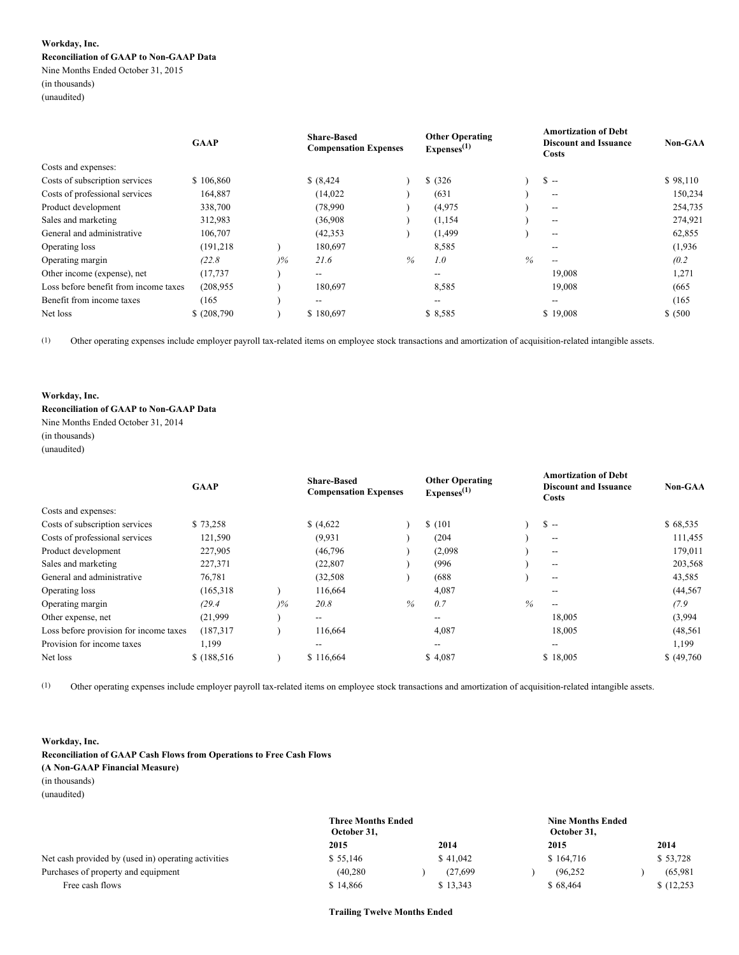## **Workday, Inc. Reconciliation of GAAP to Non-GAAP Data**

Nine Months Ended October 31, 2015 (in thousands) (unaudited)

|                                       | <b>GAAP</b> |               | <b>Share-Based</b><br><b>Compensation Expenses</b> |      | <b>Other Operating</b><br>Express <sup>(1)</sup> |      | <b>Amortization of Debt</b><br><b>Discount and Issuance</b><br>Costs | Non-GAA  |
|---------------------------------------|-------------|---------------|----------------------------------------------------|------|--------------------------------------------------|------|----------------------------------------------------------------------|----------|
| Costs and expenses:                   |             |               |                                                    |      |                                                  |      |                                                                      |          |
| Costs of subscription services        | \$106,860   |               | \$ (8,424)                                         |      | \$ (326)                                         |      | $S -$                                                                | \$98,110 |
| Costs of professional services        | 164,887     |               | (14,022)                                           |      | (631)                                            |      | $\hspace{0.05cm} \ldots$                                             | 150,234  |
| Product development                   | 338,700     |               | (78,990)                                           |      | (4,975)                                          |      | $\hspace{0.05cm} -\hspace{0.05cm} -\hspace{0.05cm}$                  | 254,735  |
| Sales and marketing                   | 312,983     |               | (36,908)                                           |      | (1, 154)                                         |      | $\hspace{0.05cm} \ldots$                                             | 274,921  |
| General and administrative            | 106,707     |               | (42, 353)                                          |      | (1, 499)                                         |      | $\hspace{0.05cm} -\hspace{0.05cm} -\hspace{0.05cm}$                  | 62,855   |
| Operating loss                        | (191, 218)  |               | 180,697                                            |      | 8,585                                            |      | $- -$                                                                | (1,936)  |
| Operating margin                      | (22.8)      | $\frac{9}{6}$ | 21.6                                               | $\%$ | 1.0                                              | $\%$ |                                                                      | (0.2)    |
| Other income (expense), net           | (17, 737)   |               | $- -$                                              |      | $- -$                                            |      | 19,008                                                               | 1,271    |
| Loss before benefit from income taxes | (208.955)   |               | 180,697                                            |      | 8,585                                            |      | 19,008                                                               | (665)    |
| Benefit from income taxes             | (165)       |               | $- -$                                              |      | $- -$                                            |      | $- -$                                                                | (165)    |
| Net loss                              | \$(208,790) |               | \$180,697                                          |      | \$8,585                                          |      | \$19,008                                                             | \$ (500) |

(1) Other operating expenses include employer payroll tax-related items on employee stock transactions and amortization of acquisition-related intangible assets.

## **Workday, Inc.**

## **Reconciliation of GAAP to Non-GAAP Data** Nine Months Ended October 31, 2014

(in thousands)

(unaudited)

|                                        | <b>GAAP</b>  |               | <b>Share-Based</b><br><b>Compensation Expenses</b> |      | <b>Other Operating</b><br>Express <sup>(1)</sup> |      | <b>Amortization of Debt</b><br><b>Discount and Issuance</b><br>Costs | Non-GAA     |
|----------------------------------------|--------------|---------------|----------------------------------------------------|------|--------------------------------------------------|------|----------------------------------------------------------------------|-------------|
| Costs and expenses:                    |              |               |                                                    |      |                                                  |      |                                                                      |             |
| Costs of subscription services         | \$73,258     |               | \$ (4,622)                                         |      | \$(101)                                          |      | $S -$                                                                | \$68,535    |
| Costs of professional services         | 121,590      |               | (9,931)                                            |      | (204)                                            |      | $\hspace{0.05cm}$ – $\hspace{0.05cm}$                                | 111,455     |
| Product development                    | 227,905      |               | (46, 796)                                          |      | (2,098)                                          |      | $- -$                                                                | 179,011     |
| Sales and marketing                    | 227,371      |               | (22, 807)                                          |      | (996)                                            |      | $- -$                                                                | 203,568     |
| General and administrative             | 76,781       |               | (32, 508)                                          |      | (688)                                            |      | $- -$                                                                | 43,585      |
| Operating loss                         | (165,318)    |               | 116,664                                            |      | 4,087                                            |      |                                                                      | (44, 567)   |
| Operating margin                       | (29.4)       | $\frac{9}{6}$ | 20.8                                               | $\%$ | 0.7                                              | $\%$ | $- -$                                                                | (7.9)       |
| Other expense, net                     | (21,999)     |               | $- -$                                              |      | --                                               |      | 18,005                                                               | (3,994)     |
| Loss before provision for income taxes | (187, 317)   |               | 116,664                                            |      | 4,087                                            |      | 18,005                                                               | (48, 561)   |
| Provision for income taxes             | 1,199        |               | $\overline{\phantom{m}}$                           |      |                                                  |      |                                                                      | 1,199       |
| Net loss                               | \$(188, 516) |               | \$116,664                                          |      | \$4,087                                          |      | \$18,005                                                             | \$ (49,760) |

(1) Other operating expenses include employer payroll tax-related items on employee stock transactions and amortization of acquisition-related intangible assets.

# **Workday, Inc.**

## **Reconciliation of GAAP Cash Flows from Operations to Free Cash Flows (A Non-GAAP Financial Measure)** (in thousands)

(unaudited)

|                                                     | <b>Three Months Ended</b><br>October 31, |          | <b>Nine Months Ended</b><br>October 31, |            |
|-----------------------------------------------------|------------------------------------------|----------|-----------------------------------------|------------|
|                                                     | 2015                                     | 2014     | 2015                                    | 2014       |
| Net cash provided by (used in) operating activities | \$55.146                                 | \$41,042 | \$164,716                               | \$53,728   |
| Purchases of property and equipment                 | (40, 280)                                | (27.699  | (96.252)                                | (65.981)   |
| Free cash flows                                     | \$14,866                                 | \$13,343 | \$68,464                                | \$(12,253) |

**Trailing Twelve Months Ended**